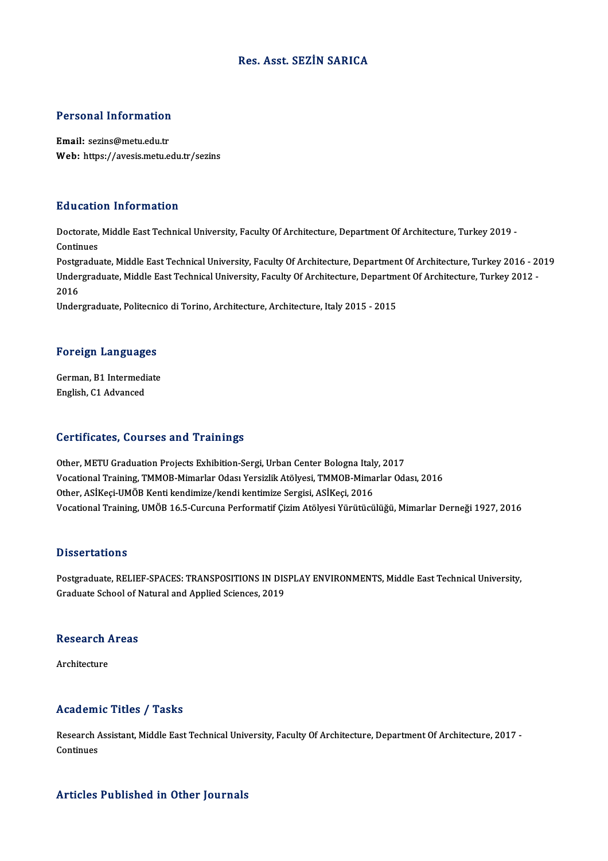#### Res. Asst. SEZİN SARICA

# Personal Information

Personal Information<br>Email: sezins@metu.edu.tr<br>Web: https://avesis.metu.e Email: sezins@metu.edu.tr<br>Web: https://avesis.metu.edu.tr/sezins

#### Education Information

**Education Information**<br>Doctorate, Middle East Technical University, Faculty Of Architecture, Department Of Architecture, Turkey 2019 -<br>Continues Doctorate,<br>Continues<br>Postaredus Doctorate, Middle East Technical University, Faculty Of Architecture, Department Of Architecture, Turkey 2019 -<br>Continues<br>Postgraduate, Middle East Technical University, Faculty Of Architecture, Department Of Architecture,

Continues<br>Postgraduate, Middle East Technical University, Faculty Of Architecture, Department Of Architecture, Turkey 2016 - 2<br>Undergraduate, Middle East Technical University, Faculty Of Architecture, Department Of Archite Postgi<br>Under<br>2016<br><sup>Under</sup> Undergraduate, Middle East Technical University, Faculty Of Architecture, Department Of Architecture, Turkey 2012 -<br>2016<br>Undergraduate, Politecnico di Torino, Architecture, Architecture, Italy 2015 - 2015

# <sub>ondergraduate, Politechi</sub><br>Foreign Languages

Foreign Languages<br>German, B1 Intermediate<br>English C1 Advanced German, B1 Intermediate<br>English, C1 Advanced

#### Certificates, Courses and Trainings

Certificates, Courses and Trainings<br>Other, METU Graduation Projects Exhibition-Sergi, Urban Center Bologna Italy, 2017<br>Vesstional Training TMMOP Mimarlar Odea Versizlik Atölyesi TMMOP Mimarlar Ode Vocational Training, TMMOB-Mimarlar Odası Yersizlik Atölyesi, TMMOB-Mimarlar Odası, 2016<br>Other, ASİKeçi-UMÖB Kenti kendimize/kendi kentimize Sergisi, ASİKeçi, 2016 Other, METU Graduation Projects Exhibition-Sergi, Urban Center Bologna Italy<br>Vocational Training, TMMOB-Mimarlar Odası Yersizlik Atölyesi, TMMOB-Mima<br>Other, ASİKeçi-UMÖB Kenti kendimize/kendi kentimize Sergisi, ASİKeçi, 20 Vocational Training, UMÖB 16.5-Curcuna Performatif Çizim Atölyesi Yürütücülüğü, Mimarlar Derneği 1927, 2016

#### **Dissertations**

Dissertations<br>Postgraduate, RELIEF-SPACES: TRANSPOSITIONS IN DISPLAY ENVIRONMENTS, Middle East Technical University,<br>Snaduate Sebael of Natural and Annlied Sciences, 2019. Basser Carrons<br>Postgraduate, RELIEF-SPACES: TRANSPOSITIONS IN DIS<br>Graduate School of Natural and Applied Sciences, 2019

### Graduate School of P<br>Research Areas Re<mark>search</mark><br>Architecture

## Architecture<br>
Academic Titles / Tasks

Academic Titles / Tasks<br>Research Assistant, Middle East Technical University, Faculty Of Architecture, Department Of Architecture, 2017 -<br>Centinues Research A<br>Continues

## Articles Published in Other Journals